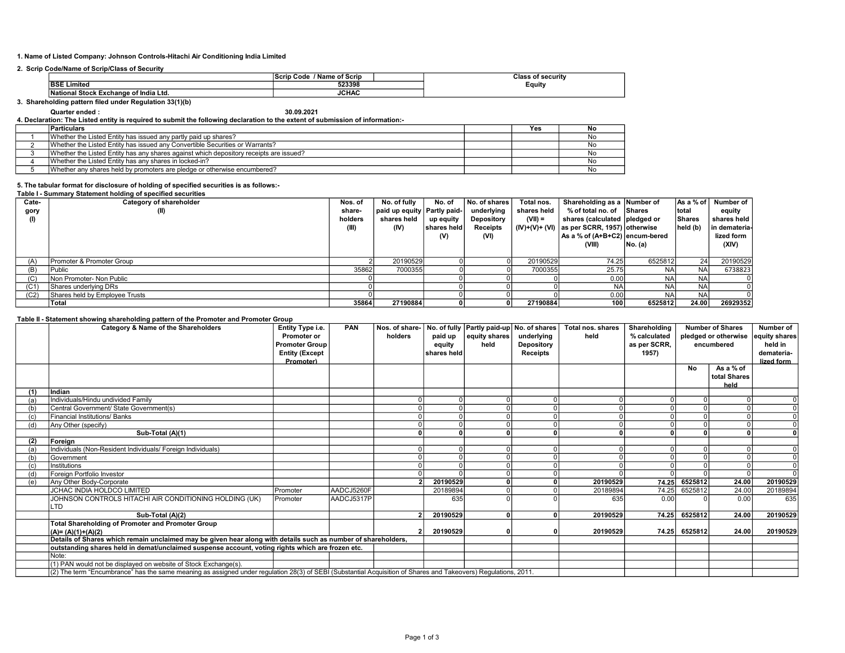# 1. Name of Listed Company: Johnson Controls-Hitachi Air Conditioning India Limited

# 2. Scrip Code/Name of Scrip/Class of Security

|                                         | - -<br>of Scrip<br>Code<br>Name                              | ы.<br>' securi⊾<br>ાaર<br><br>. |
|-----------------------------------------|--------------------------------------------------------------|---------------------------------|
| .<br>Þе<br>াmite⊾<br>- כ                | 523398                                                       | cauity                          |
| Exchange<br>⊦of India<br>' Stock<br>Lta | <b>IOULA</b><br>JUHAL<br>the contract of the contract of the |                                 |

#### 3. Shareholding pattern filed under Regulation 33(1)(b)

# Quarter ended : 30.09.2021 4. Declaration: The Listed entity is required to submit the following declaration to the extent of submission of information:-

| <b>Particulars</b>                                                                     |  | Yes | . No |  |  |  |  |  |  |
|----------------------------------------------------------------------------------------|--|-----|------|--|--|--|--|--|--|
| Whether the Listed Entity has issued any partly paid up shares?                        |  |     | . No |  |  |  |  |  |  |
| Whether the Listed Entity has issued any Convertible Securities or Warrants?           |  |     | Nc   |  |  |  |  |  |  |
| Whether the Listed Entity has any shares against which depository receipts are issued? |  |     | . No |  |  |  |  |  |  |
| Whether the Listed Entity has any shares in locked-in?                                 |  |     | Nc   |  |  |  |  |  |  |
| Whether any shares held by promoters are pledge or otherwise encumbered?               |  |     | Nc   |  |  |  |  |  |  |

# 5. The tabular format for disclosure of holding of specified securities is as follows:-

#### Table I - Summary Statement holding of specified securities

| Cate-             | Category of shareholder        | Nos. of | No. of fully                  | No. of      | No. of shares   | Total nos.  | Shareholding as a Number of                  |            | As a % of | Number of     |
|-------------------|--------------------------------|---------|-------------------------------|-------------|-----------------|-------------|----------------------------------------------|------------|-----------|---------------|
| gory              | (II)                           | share-  | paid up equity   Partly paid- |             | underlying      | shares held | % of total no. of Shares                     |            | total     | equity        |
| (1)               |                                | holders | shares held                   | up equity   | Depository      | $(VII) =$   | shares (calculated   pledged or              |            | Shares    | shares held   |
|                   |                                | (III)   | (IV)                          | shares held | <b>Receipts</b> |             | $(IV)+(V)+(VI)$ as per SCRR, 1957) otherwise |            | held (b)  | in demateria- |
|                   |                                |         |                               | (V)         | (VI)            |             | As a % of (A+B+C2) encum-bered               |            |           | lized form    |
|                   |                                |         |                               |             |                 |             | (VIII)                                       | No. (a)    |           | (XIV)         |
|                   |                                |         |                               |             |                 |             |                                              |            |           |               |
| (A)               | Promoter & Promoter Group      |         | 20190529                      |             |                 | 20190529    | 74.25                                        | 6525812    | 24        | 20190529      |
| (B)               | Public                         | 35862   | 7000355                       |             |                 | 7000355     | 25.75                                        | <b>NA</b>  | NA        | 6738823       |
| (C)               | Non Promoter- Non Public       |         |                               |             |                 |             | 0.00                                         | <b>NAI</b> | <b>NA</b> |               |
| (C <sub>1</sub> ) | Shares underlying DRs          |         |                               |             |                 |             | <b>NA</b>                                    | <b>NAI</b> | <b>NA</b> |               |
| (C2)              | Shares held by Employee Trusts |         |                               |             |                 |             | 0.00                                         | <b>NA</b>  | <b>NA</b> |               |
|                   | Total                          | 35864   | 27190884                      |             |                 | 27190884    | 100                                          | 6525812    | 24.00     | 26929352      |

#### Table II - Statement showing shareholding pattern of the Promoter and Promoter Group

|     | Category & Name of the Shareholders                                                                                                                             | Entity Type i.e.<br><b>Promoter or</b><br><b>Promoter Group</b><br><b>Entity (Except</b><br>Promoter) | <b>PAN</b> | holders | paid up<br>equity<br>shares held | Nos. of share-   No. of fully   Partly paid-up   No. of shares<br>equity shares<br>held | underlying<br>Depository<br><b>Receipts</b> | Total nos. shares<br>held | Shareholding<br>% calculated<br>as per SCRR.<br>1957) |           | <b>Number of Shares</b><br>pledged or otherwise<br>encumbered | Number of<br>equity shares <br>held in<br>demateria-<br>lized form |
|-----|-----------------------------------------------------------------------------------------------------------------------------------------------------------------|-------------------------------------------------------------------------------------------------------|------------|---------|----------------------------------|-----------------------------------------------------------------------------------------|---------------------------------------------|---------------------------|-------------------------------------------------------|-----------|---------------------------------------------------------------|--------------------------------------------------------------------|
|     |                                                                                                                                                                 |                                                                                                       |            |         |                                  |                                                                                         |                                             |                           |                                                       | <b>No</b> | As a % of<br>total Shares<br>held                             |                                                                    |
| (1) | Indian                                                                                                                                                          |                                                                                                       |            |         |                                  |                                                                                         |                                             |                           |                                                       |           |                                                               |                                                                    |
| (a) | Individuals/Hindu undivided Family                                                                                                                              |                                                                                                       |            |         |                                  |                                                                                         |                                             |                           | $\Omega$                                              |           |                                                               |                                                                    |
| (b) | Central Government/ State Government(s)                                                                                                                         |                                                                                                       |            |         |                                  |                                                                                         |                                             |                           |                                                       |           |                                                               | $\Omega$                                                           |
| (c) | Financial Institutions/ Banks                                                                                                                                   |                                                                                                       |            |         |                                  |                                                                                         |                                             |                           |                                                       |           |                                                               |                                                                    |
|     | Any Other (specify)                                                                                                                                             |                                                                                                       |            |         |                                  |                                                                                         |                                             |                           |                                                       |           |                                                               |                                                                    |
|     | Sub-Total (A)(1)                                                                                                                                                |                                                                                                       |            | n       |                                  |                                                                                         |                                             |                           |                                                       |           |                                                               |                                                                    |
| (2) | Foreign                                                                                                                                                         |                                                                                                       |            |         |                                  |                                                                                         |                                             |                           |                                                       |           |                                                               |                                                                    |
| (a) | Individuals (Non-Resident Individuals/ Foreign Individuals)                                                                                                     |                                                                                                       |            |         |                                  |                                                                                         |                                             |                           |                                                       |           |                                                               |                                                                    |
| (b) | Government                                                                                                                                                      |                                                                                                       |            |         |                                  |                                                                                         |                                             |                           |                                                       |           |                                                               |                                                                    |
|     | Institutions                                                                                                                                                    |                                                                                                       |            |         |                                  |                                                                                         |                                             |                           |                                                       |           |                                                               |                                                                    |
|     | Foreign Portfolio Investor                                                                                                                                      |                                                                                                       |            |         |                                  |                                                                                         |                                             |                           |                                                       |           |                                                               |                                                                    |
| (e) | Any Other Body-Corporate                                                                                                                                        |                                                                                                       |            |         | 20190529                         |                                                                                         |                                             | 20190529                  | 74.25                                                 | 6525812   | 24.00                                                         | 20190529                                                           |
|     | JCHAC INDIA HOLDCO LIMITED                                                                                                                                      | Promoter                                                                                              | AADCJ5260F |         | 20189894                         |                                                                                         |                                             | 20189894                  | 74.25                                                 | 6525812   | 24.00                                                         | 20189894                                                           |
|     | JOHNSON CONTROLS HITACHI AIR CONDITIONING HOLDING (UK)<br>LTD                                                                                                   | Promoter                                                                                              | AADCJ5317P |         | 635                              |                                                                                         |                                             | 635                       | 0.00                                                  |           | 0.00                                                          | 635                                                                |
|     | Sub-Total (A)(2)                                                                                                                                                |                                                                                                       |            |         | 20190529                         |                                                                                         |                                             | 20190529                  | 74.25                                                 | 6525812   | 24.00                                                         | 20190529                                                           |
|     | <b>Total Shareholding of Promoter and Promoter Group</b><br>$(A)=(A)(1)+(A)(2)$                                                                                 |                                                                                                       |            |         | 20190529                         |                                                                                         |                                             | 20190529                  | 74.25                                                 | 6525812   | 24.00                                                         | 20190529                                                           |
|     | Details of Shares which remain unclaimed may be given hear along with details such as number of shareholders,                                                   |                                                                                                       |            |         |                                  |                                                                                         |                                             |                           |                                                       |           |                                                               |                                                                    |
|     | outstanding shares held in demat/unclaimed suspense account, voting rights which are frozen etc.                                                                |                                                                                                       |            |         |                                  |                                                                                         |                                             |                           |                                                       |           |                                                               |                                                                    |
|     | Note:                                                                                                                                                           |                                                                                                       |            |         |                                  |                                                                                         |                                             |                           |                                                       |           |                                                               |                                                                    |
|     | (1) PAN would not be displayed on website of Stock Exchange(s).                                                                                                 |                                                                                                       |            |         |                                  |                                                                                         |                                             |                           |                                                       |           |                                                               |                                                                    |
|     | (2) The term "Encumbrance" has the same meaning as assigned under regulation 28(3) of SEBI (Substantial Acquisition of Shares and Takeovers) Regulations, 2011. |                                                                                                       |            |         |                                  |                                                                                         |                                             |                           |                                                       |           |                                                               |                                                                    |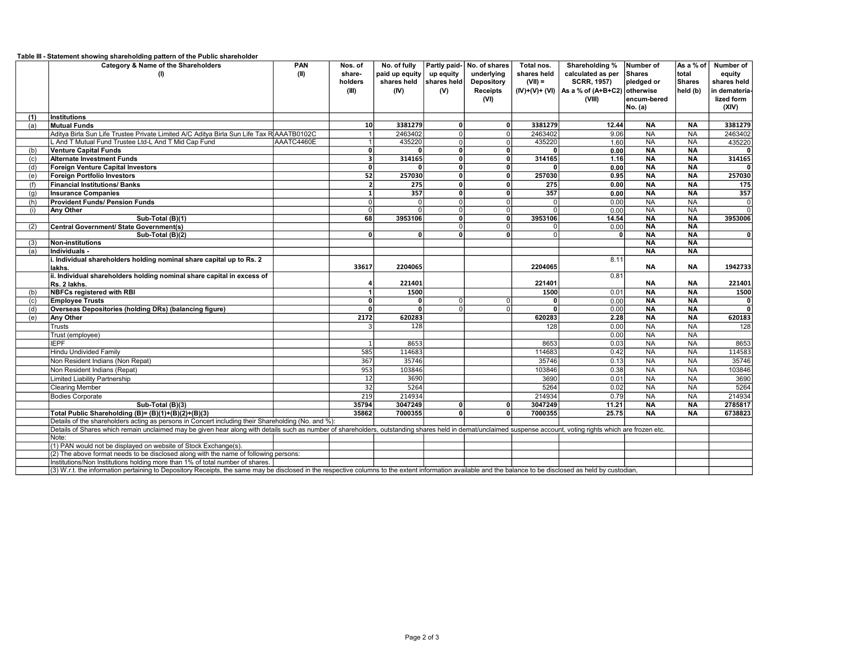| Table III - Statement showing shareholding pattern of the Public shareholder |  |
|------------------------------------------------------------------------------|--|
|                                                                              |  |

| underlying<br>calculated as per<br>Shares<br>total<br>paid up equity<br>up equity<br>shares held<br>equity<br>(II)<br>share-<br>(I)<br>shares held shares held<br>Depository<br>$(VII) =$<br><b>SCRR, 1957)</b><br>pledged or<br>Shares<br>holders<br>shares held<br>$(IV)+(V)+(VI)$ As a % of $(A+B+C2)$ otherwise<br>held (b)<br>(III)<br>(IV)<br>(V)<br><b>Receipts</b><br>in demateria-<br>(VI)<br>(VIII)<br>encum-bered<br>lized form<br>(XIV)<br>No. (a)<br><b>Institutions</b><br>(1)<br>3381279<br>3381279<br>$\mathbf{0}$<br>12.44<br><b>NA</b><br><b>NA</b><br>3381279<br><b>Mutual Funds</b><br>(a)<br>10 <sup>1</sup><br>2463402<br>NA<br><b>NA</b><br>Aditya Birla Sun Life Trustee Private Limited A/C Aditya Birla Sun Life Tax R AAATB0102C<br>2463402<br>$\overline{0}$<br>9.06<br>2463402<br>435220<br>435220<br>1.60<br>NA<br>L And T Mutual Fund Trustee Ltd-L And T Mid Cap Fund<br>AAATC4460E<br>$\overline{0}$<br><b>NA</b><br>435220<br>$\Omega$<br>히<br>$N_A$<br><b>NA</b><br><b>Venture Capital Funds</b><br>0<br>0.00<br>$\Omega$<br>0<br>ΩI<br>$\mathbf{a}$<br>(b)<br>$\overline{0}$<br>$N_A$<br><b>Alternate Investment Funds</b><br>3<br>314165<br>314165<br>1.16<br><b>NA</b><br>314165<br>οI<br>(c)<br>$\overline{\mathfrak{o}}$<br><b>NA</b><br><b>NA</b><br><b>Foreign Venture Capital Investors</b><br>0<br>$\mathbf{0}$<br>$\mathbf{0}$<br>0.00<br>$\mathbf{0}$<br>(d)<br>0<br>52<br>$\overline{0}$<br>257030<br>257030<br><b>NA</b><br><b>NA</b><br>Foreign Portfolio Investors<br>οl<br>0.95<br>(e)<br>$\overline{0}$<br>0.00<br><b>NA</b><br><b>NA</b><br><b>Financial Institutions/ Banks</b><br>$\overline{\phantom{a}}$<br>275<br>275<br>175<br>(f)<br>ΩI<br>$\overline{0}$<br>357<br><b>NA</b><br>357<br>357<br>0.00<br><b>NA</b><br><b>Insurance Companies</b><br>$\mathbf{0}$<br>(q)<br>$\overline{NA}$<br>$\overline{0}$<br><b>NA</b><br><b>Provident Funds/ Pension Funds</b><br>$\overline{0}$<br>$\overline{0}$<br>0.00<br>$\Omega$<br>(h)<br>$\overline{0}$<br>$\overline{0}$<br>$\overline{0}$<br>0.00<br>$N_A$<br><b>NA</b><br><b>Any Other</b><br>$\Omega$<br>0<br>(i)<br>$\Omega$<br>$\overline{\mathbf{0}}$<br>$N_A$<br>$N_A$<br>Sub-Total (B)(1)<br>68<br>3953106<br>3953106<br>14.54<br>3953006<br>οI<br>$\overline{NA}$<br><b>NA</b><br>Central Government/ State Government(s)<br>0<br>0.00<br>(2)<br>$\Omega$<br>$\Omega$<br>$\overline{NA}$<br>$\overline{0}$<br><b>NA</b><br>Sub-Total (B)(2)<br>$\overline{0}$<br>$\overline{0}$<br>$\overline{0}$<br>$\overline{0}$<br>ΩI<br><b>NA</b><br><b>NA</b><br>Non-institutions<br>(3)<br>Individuals -<br><b>NA</b><br><b>NA</b><br>(a)<br>8.11<br>i. Individual shareholders holding nominal share capital up to Rs. 2<br>33617<br>2204065<br>2204065<br>NA<br><b>NA</b><br>1942733<br>lakhs.<br>0.81<br>ii. Individual shareholders holding nominal share capital in excess of<br>221401<br>221401<br><b>NA</b><br><b>NA</b><br>221401<br>Rs. 2 lakhs.<br><b>NBFCs registered with RBI</b><br>1500<br>1500<br><b>NA</b><br><b>NA</b><br>1500<br>0.01<br>(b)<br>0.00<br>$N_A$<br><b>NA</b><br><b>Employee Trusts</b><br> 0 <br>٥I<br>0<br>$\mathbf{a}$<br>(c)<br>$\Omega$<br>Overseas Depositories (holding DRs) (balancing figure)<br>$\overline{0}$<br><b>NA</b><br><b>NA</b><br>οl<br>0<br>0.00<br>(d)<br>$\mathbf{0}$<br>$\Omega$<br><b>NA</b><br>2172<br>620283<br><b>NA</b><br>620183<br><b>Any Other</b><br>620283<br>2.28<br>(e)<br>0.00<br>$N_A$<br><b>NA</b><br>Trusts<br>128<br>128<br>128<br>0.00<br>$N_A$<br>$\overline{NA}$<br>Trust (employee)<br>NA<br><b>IEPF</b><br>0.03<br><b>NA</b><br>8653<br>8653<br>8653<br>585<br>114683<br>114683<br>0.42<br>NA<br>114583<br><b>Hindu Undivided Family</b><br><b>NA</b><br>367<br>35746<br>0.13<br>NA<br><b>NA</b><br>35746<br>35746<br>Non Resident Indians (Non Repat)<br>Non Resident Indians (Repat)<br>953<br>103846<br>103846<br>0.38<br>NA<br><b>NA</b><br>103846<br>3690<br>0.01<br>NA<br>3690<br><b>Limited Liability Partnership</b><br>3690<br><b>NA</b><br>12<br>5264<br>5264<br>$\overline{32}$<br>5264<br>0.02<br>NA<br><b>NA</b><br><b>Clearing Member</b><br>219<br>214934<br>0.79<br>214934<br>NA<br><b>NA</b><br>214934<br><b>Bodies Corporate</b><br>$\overline{NA}$<br>2785817<br>35794<br>3047249<br>3047249<br>11.21<br><b>NA</b><br>Sub-Total (B)(3)<br>$\mathbf{0}$<br>$\mathbf{0}$<br>$\overline{\mathbf{0}}$<br>35862<br>7000355<br>7000355<br>25.75<br><b>NA</b><br>6738823<br>Total Public Shareholding (B)= (B)(1)+(B)(2)+(B)(3)<br>$\overline{0}$<br><b>NA</b><br>Details of the shareholders acting as persons in Concert including their Shareholding (No. and %):<br>Details of Shares which remain unclaimed may be given hear along with details such as number of shareholders, outstanding shares held in demat/unclaimed suspense account, voting rights which are frozen etc.<br>Note:<br>(1) PAN would not be displayed on website of Stock Exchange(s).<br>(2) The above format needs to be disclosed along with the name of following persons:<br>Institutions/Non Institutions holding more than 1% of total number of shares.<br>(3) W.r.t. the information pertaining to Depository Receipts, the same may be disclosed in the respective columns to the extent information available and the balance to be disclosed as held by custodian, | Category & Name of the Shareholders | PAN | Nos. of |  | No. of fully Partly paid- No. of shares | Total nos. | Shareholding % | Number of | As a % of | Number of |
|-------------------------------------------------------------------------------------------------------------------------------------------------------------------------------------------------------------------------------------------------------------------------------------------------------------------------------------------------------------------------------------------------------------------------------------------------------------------------------------------------------------------------------------------------------------------------------------------------------------------------------------------------------------------------------------------------------------------------------------------------------------------------------------------------------------------------------------------------------------------------------------------------------------------------------------------------------------------------------------------------------------------------------------------------------------------------------------------------------------------------------------------------------------------------------------------------------------------------------------------------------------------------------------------------------------------------------------------------------------------------------------------------------------------------------------------------------------------------------------------------------------------------------------------------------------------------------------------------------------------------------------------------------------------------------------------------------------------------------------------------------------------------------------------------------------------------------------------------------------------------------------------------------------------------------------------------------------------------------------------------------------------------------------------------------------------------------------------------------------------------------------------------------------------------------------------------------------------------------------------------------------------------------------------------------------------------------------------------------------------------------------------------------------------------------------------------------------------------------------------------------------------------------------------------------------------------------------------------------------------------------------------------------------------------------------------------------------------------------------------------------------------------------------------------------------------------------------------------------------------------------------------------------------------------------------------------------------------------------------------------------------------------------------------------------------------------------------------------------------------------------------------------------------------------------------------------------------------------------------------------------------------------------------------------------------------------------------------------------------------------------------------------------------------------------------------------------------------------------------------------------------------------------------------------------------------------------------------------------------------------------------------------------------------------------------------------------------------------------------------------------------------------------------------------------------------------------------------------------------------------------------------------------------------------------------------------------------------------------------------------------------------------------------------------------------------------------------------------------------------------------------------------------------------------------------------------------------------------------------------------------------------------------------------------------------------------------------------------------------------------------------------------------------------------------------------------------------------------------------------------------------------------------------------------------------------------------------------------------------------------------------------------------------------------------------------------------------------------------------------------------------------------------------------------------------------------------------------------------------------------------------------------------------------------------------------------------------------------------------------------------------------------------------------------------------------------------------------------------------------------------------------------------------------------------------------------------------------------------------------------------------------------------------------------------------------------------------------------------------|-------------------------------------|-----|---------|--|-----------------------------------------|------------|----------------|-----------|-----------|-----------|
|                                                                                                                                                                                                                                                                                                                                                                                                                                                                                                                                                                                                                                                                                                                                                                                                                                                                                                                                                                                                                                                                                                                                                                                                                                                                                                                                                                                                                                                                                                                                                                                                                                                                                                                                                                                                                                                                                                                                                                                                                                                                                                                                                                                                                                                                                                                                                                                                                                                                                                                                                                                                                                                                                                                                                                                                                                                                                                                                                                                                                                                                                                                                                                                                                                                                                                                                                                                                                                                                                                                                                                                                                                                                                                                                                                                                                                                                                                                                                                                                                                                                                                                                                                                                                                                                                                                                                                                                                                                                                                                                                                                                                                                                                                                                                                                                                                                                                                                                                                                                                                                                                                                                                                                                                                                                                                                                                             |                                     |     |         |  |                                         |            |                |           |           |           |
|                                                                                                                                                                                                                                                                                                                                                                                                                                                                                                                                                                                                                                                                                                                                                                                                                                                                                                                                                                                                                                                                                                                                                                                                                                                                                                                                                                                                                                                                                                                                                                                                                                                                                                                                                                                                                                                                                                                                                                                                                                                                                                                                                                                                                                                                                                                                                                                                                                                                                                                                                                                                                                                                                                                                                                                                                                                                                                                                                                                                                                                                                                                                                                                                                                                                                                                                                                                                                                                                                                                                                                                                                                                                                                                                                                                                                                                                                                                                                                                                                                                                                                                                                                                                                                                                                                                                                                                                                                                                                                                                                                                                                                                                                                                                                                                                                                                                                                                                                                                                                                                                                                                                                                                                                                                                                                                                                             |                                     |     |         |  |                                         |            |                |           |           |           |
| 257030<br>ᅁ<br>$\overline{0}$<br> 0 <br>ᅁ                                                                                                                                                                                                                                                                                                                                                                                                                                                                                                                                                                                                                                                                                                                                                                                                                                                                                                                                                                                                                                                                                                                                                                                                                                                                                                                                                                                                                                                                                                                                                                                                                                                                                                                                                                                                                                                                                                                                                                                                                                                                                                                                                                                                                                                                                                                                                                                                                                                                                                                                                                                                                                                                                                                                                                                                                                                                                                                                                                                                                                                                                                                                                                                                                                                                                                                                                                                                                                                                                                                                                                                                                                                                                                                                                                                                                                                                                                                                                                                                                                                                                                                                                                                                                                                                                                                                                                                                                                                                                                                                                                                                                                                                                                                                                                                                                                                                                                                                                                                                                                                                                                                                                                                                                                                                                                                   |                                     |     |         |  |                                         |            |                |           |           |           |
|                                                                                                                                                                                                                                                                                                                                                                                                                                                                                                                                                                                                                                                                                                                                                                                                                                                                                                                                                                                                                                                                                                                                                                                                                                                                                                                                                                                                                                                                                                                                                                                                                                                                                                                                                                                                                                                                                                                                                                                                                                                                                                                                                                                                                                                                                                                                                                                                                                                                                                                                                                                                                                                                                                                                                                                                                                                                                                                                                                                                                                                                                                                                                                                                                                                                                                                                                                                                                                                                                                                                                                                                                                                                                                                                                                                                                                                                                                                                                                                                                                                                                                                                                                                                                                                                                                                                                                                                                                                                                                                                                                                                                                                                                                                                                                                                                                                                                                                                                                                                                                                                                                                                                                                                                                                                                                                                                             |                                     |     |         |  |                                         |            |                |           |           |           |
|                                                                                                                                                                                                                                                                                                                                                                                                                                                                                                                                                                                                                                                                                                                                                                                                                                                                                                                                                                                                                                                                                                                                                                                                                                                                                                                                                                                                                                                                                                                                                                                                                                                                                                                                                                                                                                                                                                                                                                                                                                                                                                                                                                                                                                                                                                                                                                                                                                                                                                                                                                                                                                                                                                                                                                                                                                                                                                                                                                                                                                                                                                                                                                                                                                                                                                                                                                                                                                                                                                                                                                                                                                                                                                                                                                                                                                                                                                                                                                                                                                                                                                                                                                                                                                                                                                                                                                                                                                                                                                                                                                                                                                                                                                                                                                                                                                                                                                                                                                                                                                                                                                                                                                                                                                                                                                                                                             |                                     |     |         |  |                                         |            |                |           |           |           |
|                                                                                                                                                                                                                                                                                                                                                                                                                                                                                                                                                                                                                                                                                                                                                                                                                                                                                                                                                                                                                                                                                                                                                                                                                                                                                                                                                                                                                                                                                                                                                                                                                                                                                                                                                                                                                                                                                                                                                                                                                                                                                                                                                                                                                                                                                                                                                                                                                                                                                                                                                                                                                                                                                                                                                                                                                                                                                                                                                                                                                                                                                                                                                                                                                                                                                                                                                                                                                                                                                                                                                                                                                                                                                                                                                                                                                                                                                                                                                                                                                                                                                                                                                                                                                                                                                                                                                                                                                                                                                                                                                                                                                                                                                                                                                                                                                                                                                                                                                                                                                                                                                                                                                                                                                                                                                                                                                             |                                     |     |         |  |                                         |            |                |           |           |           |
|                                                                                                                                                                                                                                                                                                                                                                                                                                                                                                                                                                                                                                                                                                                                                                                                                                                                                                                                                                                                                                                                                                                                                                                                                                                                                                                                                                                                                                                                                                                                                                                                                                                                                                                                                                                                                                                                                                                                                                                                                                                                                                                                                                                                                                                                                                                                                                                                                                                                                                                                                                                                                                                                                                                                                                                                                                                                                                                                                                                                                                                                                                                                                                                                                                                                                                                                                                                                                                                                                                                                                                                                                                                                                                                                                                                                                                                                                                                                                                                                                                                                                                                                                                                                                                                                                                                                                                                                                                                                                                                                                                                                                                                                                                                                                                                                                                                                                                                                                                                                                                                                                                                                                                                                                                                                                                                                                             |                                     |     |         |  |                                         |            |                |           |           |           |
|                                                                                                                                                                                                                                                                                                                                                                                                                                                                                                                                                                                                                                                                                                                                                                                                                                                                                                                                                                                                                                                                                                                                                                                                                                                                                                                                                                                                                                                                                                                                                                                                                                                                                                                                                                                                                                                                                                                                                                                                                                                                                                                                                                                                                                                                                                                                                                                                                                                                                                                                                                                                                                                                                                                                                                                                                                                                                                                                                                                                                                                                                                                                                                                                                                                                                                                                                                                                                                                                                                                                                                                                                                                                                                                                                                                                                                                                                                                                                                                                                                                                                                                                                                                                                                                                                                                                                                                                                                                                                                                                                                                                                                                                                                                                                                                                                                                                                                                                                                                                                                                                                                                                                                                                                                                                                                                                                             |                                     |     |         |  |                                         |            |                |           |           |           |
|                                                                                                                                                                                                                                                                                                                                                                                                                                                                                                                                                                                                                                                                                                                                                                                                                                                                                                                                                                                                                                                                                                                                                                                                                                                                                                                                                                                                                                                                                                                                                                                                                                                                                                                                                                                                                                                                                                                                                                                                                                                                                                                                                                                                                                                                                                                                                                                                                                                                                                                                                                                                                                                                                                                                                                                                                                                                                                                                                                                                                                                                                                                                                                                                                                                                                                                                                                                                                                                                                                                                                                                                                                                                                                                                                                                                                                                                                                                                                                                                                                                                                                                                                                                                                                                                                                                                                                                                                                                                                                                                                                                                                                                                                                                                                                                                                                                                                                                                                                                                                                                                                                                                                                                                                                                                                                                                                             |                                     |     |         |  |                                         |            |                |           |           |           |
|                                                                                                                                                                                                                                                                                                                                                                                                                                                                                                                                                                                                                                                                                                                                                                                                                                                                                                                                                                                                                                                                                                                                                                                                                                                                                                                                                                                                                                                                                                                                                                                                                                                                                                                                                                                                                                                                                                                                                                                                                                                                                                                                                                                                                                                                                                                                                                                                                                                                                                                                                                                                                                                                                                                                                                                                                                                                                                                                                                                                                                                                                                                                                                                                                                                                                                                                                                                                                                                                                                                                                                                                                                                                                                                                                                                                                                                                                                                                                                                                                                                                                                                                                                                                                                                                                                                                                                                                                                                                                                                                                                                                                                                                                                                                                                                                                                                                                                                                                                                                                                                                                                                                                                                                                                                                                                                                                             |                                     |     |         |  |                                         |            |                |           |           |           |
|                                                                                                                                                                                                                                                                                                                                                                                                                                                                                                                                                                                                                                                                                                                                                                                                                                                                                                                                                                                                                                                                                                                                                                                                                                                                                                                                                                                                                                                                                                                                                                                                                                                                                                                                                                                                                                                                                                                                                                                                                                                                                                                                                                                                                                                                                                                                                                                                                                                                                                                                                                                                                                                                                                                                                                                                                                                                                                                                                                                                                                                                                                                                                                                                                                                                                                                                                                                                                                                                                                                                                                                                                                                                                                                                                                                                                                                                                                                                                                                                                                                                                                                                                                                                                                                                                                                                                                                                                                                                                                                                                                                                                                                                                                                                                                                                                                                                                                                                                                                                                                                                                                                                                                                                                                                                                                                                                             |                                     |     |         |  |                                         |            |                |           |           |           |
|                                                                                                                                                                                                                                                                                                                                                                                                                                                                                                                                                                                                                                                                                                                                                                                                                                                                                                                                                                                                                                                                                                                                                                                                                                                                                                                                                                                                                                                                                                                                                                                                                                                                                                                                                                                                                                                                                                                                                                                                                                                                                                                                                                                                                                                                                                                                                                                                                                                                                                                                                                                                                                                                                                                                                                                                                                                                                                                                                                                                                                                                                                                                                                                                                                                                                                                                                                                                                                                                                                                                                                                                                                                                                                                                                                                                                                                                                                                                                                                                                                                                                                                                                                                                                                                                                                                                                                                                                                                                                                                                                                                                                                                                                                                                                                                                                                                                                                                                                                                                                                                                                                                                                                                                                                                                                                                                                             |                                     |     |         |  |                                         |            |                |           |           |           |
|                                                                                                                                                                                                                                                                                                                                                                                                                                                                                                                                                                                                                                                                                                                                                                                                                                                                                                                                                                                                                                                                                                                                                                                                                                                                                                                                                                                                                                                                                                                                                                                                                                                                                                                                                                                                                                                                                                                                                                                                                                                                                                                                                                                                                                                                                                                                                                                                                                                                                                                                                                                                                                                                                                                                                                                                                                                                                                                                                                                                                                                                                                                                                                                                                                                                                                                                                                                                                                                                                                                                                                                                                                                                                                                                                                                                                                                                                                                                                                                                                                                                                                                                                                                                                                                                                                                                                                                                                                                                                                                                                                                                                                                                                                                                                                                                                                                                                                                                                                                                                                                                                                                                                                                                                                                                                                                                                             |                                     |     |         |  |                                         |            |                |           |           |           |
|                                                                                                                                                                                                                                                                                                                                                                                                                                                                                                                                                                                                                                                                                                                                                                                                                                                                                                                                                                                                                                                                                                                                                                                                                                                                                                                                                                                                                                                                                                                                                                                                                                                                                                                                                                                                                                                                                                                                                                                                                                                                                                                                                                                                                                                                                                                                                                                                                                                                                                                                                                                                                                                                                                                                                                                                                                                                                                                                                                                                                                                                                                                                                                                                                                                                                                                                                                                                                                                                                                                                                                                                                                                                                                                                                                                                                                                                                                                                                                                                                                                                                                                                                                                                                                                                                                                                                                                                                                                                                                                                                                                                                                                                                                                                                                                                                                                                                                                                                                                                                                                                                                                                                                                                                                                                                                                                                             |                                     |     |         |  |                                         |            |                |           |           |           |
|                                                                                                                                                                                                                                                                                                                                                                                                                                                                                                                                                                                                                                                                                                                                                                                                                                                                                                                                                                                                                                                                                                                                                                                                                                                                                                                                                                                                                                                                                                                                                                                                                                                                                                                                                                                                                                                                                                                                                                                                                                                                                                                                                                                                                                                                                                                                                                                                                                                                                                                                                                                                                                                                                                                                                                                                                                                                                                                                                                                                                                                                                                                                                                                                                                                                                                                                                                                                                                                                                                                                                                                                                                                                                                                                                                                                                                                                                                                                                                                                                                                                                                                                                                                                                                                                                                                                                                                                                                                                                                                                                                                                                                                                                                                                                                                                                                                                                                                                                                                                                                                                                                                                                                                                                                                                                                                                                             |                                     |     |         |  |                                         |            |                |           |           |           |
|                                                                                                                                                                                                                                                                                                                                                                                                                                                                                                                                                                                                                                                                                                                                                                                                                                                                                                                                                                                                                                                                                                                                                                                                                                                                                                                                                                                                                                                                                                                                                                                                                                                                                                                                                                                                                                                                                                                                                                                                                                                                                                                                                                                                                                                                                                                                                                                                                                                                                                                                                                                                                                                                                                                                                                                                                                                                                                                                                                                                                                                                                                                                                                                                                                                                                                                                                                                                                                                                                                                                                                                                                                                                                                                                                                                                                                                                                                                                                                                                                                                                                                                                                                                                                                                                                                                                                                                                                                                                                                                                                                                                                                                                                                                                                                                                                                                                                                                                                                                                                                                                                                                                                                                                                                                                                                                                                             |                                     |     |         |  |                                         |            |                |           |           |           |
|                                                                                                                                                                                                                                                                                                                                                                                                                                                                                                                                                                                                                                                                                                                                                                                                                                                                                                                                                                                                                                                                                                                                                                                                                                                                                                                                                                                                                                                                                                                                                                                                                                                                                                                                                                                                                                                                                                                                                                                                                                                                                                                                                                                                                                                                                                                                                                                                                                                                                                                                                                                                                                                                                                                                                                                                                                                                                                                                                                                                                                                                                                                                                                                                                                                                                                                                                                                                                                                                                                                                                                                                                                                                                                                                                                                                                                                                                                                                                                                                                                                                                                                                                                                                                                                                                                                                                                                                                                                                                                                                                                                                                                                                                                                                                                                                                                                                                                                                                                                                                                                                                                                                                                                                                                                                                                                                                             |                                     |     |         |  |                                         |            |                |           |           |           |
|                                                                                                                                                                                                                                                                                                                                                                                                                                                                                                                                                                                                                                                                                                                                                                                                                                                                                                                                                                                                                                                                                                                                                                                                                                                                                                                                                                                                                                                                                                                                                                                                                                                                                                                                                                                                                                                                                                                                                                                                                                                                                                                                                                                                                                                                                                                                                                                                                                                                                                                                                                                                                                                                                                                                                                                                                                                                                                                                                                                                                                                                                                                                                                                                                                                                                                                                                                                                                                                                                                                                                                                                                                                                                                                                                                                                                                                                                                                                                                                                                                                                                                                                                                                                                                                                                                                                                                                                                                                                                                                                                                                                                                                                                                                                                                                                                                                                                                                                                                                                                                                                                                                                                                                                                                                                                                                                                             |                                     |     |         |  |                                         |            |                |           |           |           |
|                                                                                                                                                                                                                                                                                                                                                                                                                                                                                                                                                                                                                                                                                                                                                                                                                                                                                                                                                                                                                                                                                                                                                                                                                                                                                                                                                                                                                                                                                                                                                                                                                                                                                                                                                                                                                                                                                                                                                                                                                                                                                                                                                                                                                                                                                                                                                                                                                                                                                                                                                                                                                                                                                                                                                                                                                                                                                                                                                                                                                                                                                                                                                                                                                                                                                                                                                                                                                                                                                                                                                                                                                                                                                                                                                                                                                                                                                                                                                                                                                                                                                                                                                                                                                                                                                                                                                                                                                                                                                                                                                                                                                                                                                                                                                                                                                                                                                                                                                                                                                                                                                                                                                                                                                                                                                                                                                             |                                     |     |         |  |                                         |            |                |           |           |           |
|                                                                                                                                                                                                                                                                                                                                                                                                                                                                                                                                                                                                                                                                                                                                                                                                                                                                                                                                                                                                                                                                                                                                                                                                                                                                                                                                                                                                                                                                                                                                                                                                                                                                                                                                                                                                                                                                                                                                                                                                                                                                                                                                                                                                                                                                                                                                                                                                                                                                                                                                                                                                                                                                                                                                                                                                                                                                                                                                                                                                                                                                                                                                                                                                                                                                                                                                                                                                                                                                                                                                                                                                                                                                                                                                                                                                                                                                                                                                                                                                                                                                                                                                                                                                                                                                                                                                                                                                                                                                                                                                                                                                                                                                                                                                                                                                                                                                                                                                                                                                                                                                                                                                                                                                                                                                                                                                                             |                                     |     |         |  |                                         |            |                |           |           |           |
|                                                                                                                                                                                                                                                                                                                                                                                                                                                                                                                                                                                                                                                                                                                                                                                                                                                                                                                                                                                                                                                                                                                                                                                                                                                                                                                                                                                                                                                                                                                                                                                                                                                                                                                                                                                                                                                                                                                                                                                                                                                                                                                                                                                                                                                                                                                                                                                                                                                                                                                                                                                                                                                                                                                                                                                                                                                                                                                                                                                                                                                                                                                                                                                                                                                                                                                                                                                                                                                                                                                                                                                                                                                                                                                                                                                                                                                                                                                                                                                                                                                                                                                                                                                                                                                                                                                                                                                                                                                                                                                                                                                                                                                                                                                                                                                                                                                                                                                                                                                                                                                                                                                                                                                                                                                                                                                                                             |                                     |     |         |  |                                         |            |                |           |           |           |
|                                                                                                                                                                                                                                                                                                                                                                                                                                                                                                                                                                                                                                                                                                                                                                                                                                                                                                                                                                                                                                                                                                                                                                                                                                                                                                                                                                                                                                                                                                                                                                                                                                                                                                                                                                                                                                                                                                                                                                                                                                                                                                                                                                                                                                                                                                                                                                                                                                                                                                                                                                                                                                                                                                                                                                                                                                                                                                                                                                                                                                                                                                                                                                                                                                                                                                                                                                                                                                                                                                                                                                                                                                                                                                                                                                                                                                                                                                                                                                                                                                                                                                                                                                                                                                                                                                                                                                                                                                                                                                                                                                                                                                                                                                                                                                                                                                                                                                                                                                                                                                                                                                                                                                                                                                                                                                                                                             |                                     |     |         |  |                                         |            |                |           |           |           |
|                                                                                                                                                                                                                                                                                                                                                                                                                                                                                                                                                                                                                                                                                                                                                                                                                                                                                                                                                                                                                                                                                                                                                                                                                                                                                                                                                                                                                                                                                                                                                                                                                                                                                                                                                                                                                                                                                                                                                                                                                                                                                                                                                                                                                                                                                                                                                                                                                                                                                                                                                                                                                                                                                                                                                                                                                                                                                                                                                                                                                                                                                                                                                                                                                                                                                                                                                                                                                                                                                                                                                                                                                                                                                                                                                                                                                                                                                                                                                                                                                                                                                                                                                                                                                                                                                                                                                                                                                                                                                                                                                                                                                                                                                                                                                                                                                                                                                                                                                                                                                                                                                                                                                                                                                                                                                                                                                             |                                     |     |         |  |                                         |            |                |           |           |           |
|                                                                                                                                                                                                                                                                                                                                                                                                                                                                                                                                                                                                                                                                                                                                                                                                                                                                                                                                                                                                                                                                                                                                                                                                                                                                                                                                                                                                                                                                                                                                                                                                                                                                                                                                                                                                                                                                                                                                                                                                                                                                                                                                                                                                                                                                                                                                                                                                                                                                                                                                                                                                                                                                                                                                                                                                                                                                                                                                                                                                                                                                                                                                                                                                                                                                                                                                                                                                                                                                                                                                                                                                                                                                                                                                                                                                                                                                                                                                                                                                                                                                                                                                                                                                                                                                                                                                                                                                                                                                                                                                                                                                                                                                                                                                                                                                                                                                                                                                                                                                                                                                                                                                                                                                                                                                                                                                                             |                                     |     |         |  |                                         |            |                |           |           |           |
|                                                                                                                                                                                                                                                                                                                                                                                                                                                                                                                                                                                                                                                                                                                                                                                                                                                                                                                                                                                                                                                                                                                                                                                                                                                                                                                                                                                                                                                                                                                                                                                                                                                                                                                                                                                                                                                                                                                                                                                                                                                                                                                                                                                                                                                                                                                                                                                                                                                                                                                                                                                                                                                                                                                                                                                                                                                                                                                                                                                                                                                                                                                                                                                                                                                                                                                                                                                                                                                                                                                                                                                                                                                                                                                                                                                                                                                                                                                                                                                                                                                                                                                                                                                                                                                                                                                                                                                                                                                                                                                                                                                                                                                                                                                                                                                                                                                                                                                                                                                                                                                                                                                                                                                                                                                                                                                                                             |                                     |     |         |  |                                         |            |                |           |           |           |
|                                                                                                                                                                                                                                                                                                                                                                                                                                                                                                                                                                                                                                                                                                                                                                                                                                                                                                                                                                                                                                                                                                                                                                                                                                                                                                                                                                                                                                                                                                                                                                                                                                                                                                                                                                                                                                                                                                                                                                                                                                                                                                                                                                                                                                                                                                                                                                                                                                                                                                                                                                                                                                                                                                                                                                                                                                                                                                                                                                                                                                                                                                                                                                                                                                                                                                                                                                                                                                                                                                                                                                                                                                                                                                                                                                                                                                                                                                                                                                                                                                                                                                                                                                                                                                                                                                                                                                                                                                                                                                                                                                                                                                                                                                                                                                                                                                                                                                                                                                                                                                                                                                                                                                                                                                                                                                                                                             |                                     |     |         |  |                                         |            |                |           |           |           |
|                                                                                                                                                                                                                                                                                                                                                                                                                                                                                                                                                                                                                                                                                                                                                                                                                                                                                                                                                                                                                                                                                                                                                                                                                                                                                                                                                                                                                                                                                                                                                                                                                                                                                                                                                                                                                                                                                                                                                                                                                                                                                                                                                                                                                                                                                                                                                                                                                                                                                                                                                                                                                                                                                                                                                                                                                                                                                                                                                                                                                                                                                                                                                                                                                                                                                                                                                                                                                                                                                                                                                                                                                                                                                                                                                                                                                                                                                                                                                                                                                                                                                                                                                                                                                                                                                                                                                                                                                                                                                                                                                                                                                                                                                                                                                                                                                                                                                                                                                                                                                                                                                                                                                                                                                                                                                                                                                             |                                     |     |         |  |                                         |            |                |           |           |           |
|                                                                                                                                                                                                                                                                                                                                                                                                                                                                                                                                                                                                                                                                                                                                                                                                                                                                                                                                                                                                                                                                                                                                                                                                                                                                                                                                                                                                                                                                                                                                                                                                                                                                                                                                                                                                                                                                                                                                                                                                                                                                                                                                                                                                                                                                                                                                                                                                                                                                                                                                                                                                                                                                                                                                                                                                                                                                                                                                                                                                                                                                                                                                                                                                                                                                                                                                                                                                                                                                                                                                                                                                                                                                                                                                                                                                                                                                                                                                                                                                                                                                                                                                                                                                                                                                                                                                                                                                                                                                                                                                                                                                                                                                                                                                                                                                                                                                                                                                                                                                                                                                                                                                                                                                                                                                                                                                                             |                                     |     |         |  |                                         |            |                |           |           |           |
|                                                                                                                                                                                                                                                                                                                                                                                                                                                                                                                                                                                                                                                                                                                                                                                                                                                                                                                                                                                                                                                                                                                                                                                                                                                                                                                                                                                                                                                                                                                                                                                                                                                                                                                                                                                                                                                                                                                                                                                                                                                                                                                                                                                                                                                                                                                                                                                                                                                                                                                                                                                                                                                                                                                                                                                                                                                                                                                                                                                                                                                                                                                                                                                                                                                                                                                                                                                                                                                                                                                                                                                                                                                                                                                                                                                                                                                                                                                                                                                                                                                                                                                                                                                                                                                                                                                                                                                                                                                                                                                                                                                                                                                                                                                                                                                                                                                                                                                                                                                                                                                                                                                                                                                                                                                                                                                                                             |                                     |     |         |  |                                         |            |                |           |           |           |
|                                                                                                                                                                                                                                                                                                                                                                                                                                                                                                                                                                                                                                                                                                                                                                                                                                                                                                                                                                                                                                                                                                                                                                                                                                                                                                                                                                                                                                                                                                                                                                                                                                                                                                                                                                                                                                                                                                                                                                                                                                                                                                                                                                                                                                                                                                                                                                                                                                                                                                                                                                                                                                                                                                                                                                                                                                                                                                                                                                                                                                                                                                                                                                                                                                                                                                                                                                                                                                                                                                                                                                                                                                                                                                                                                                                                                                                                                                                                                                                                                                                                                                                                                                                                                                                                                                                                                                                                                                                                                                                                                                                                                                                                                                                                                                                                                                                                                                                                                                                                                                                                                                                                                                                                                                                                                                                                                             |                                     |     |         |  |                                         |            |                |           |           |           |
|                                                                                                                                                                                                                                                                                                                                                                                                                                                                                                                                                                                                                                                                                                                                                                                                                                                                                                                                                                                                                                                                                                                                                                                                                                                                                                                                                                                                                                                                                                                                                                                                                                                                                                                                                                                                                                                                                                                                                                                                                                                                                                                                                                                                                                                                                                                                                                                                                                                                                                                                                                                                                                                                                                                                                                                                                                                                                                                                                                                                                                                                                                                                                                                                                                                                                                                                                                                                                                                                                                                                                                                                                                                                                                                                                                                                                                                                                                                                                                                                                                                                                                                                                                                                                                                                                                                                                                                                                                                                                                                                                                                                                                                                                                                                                                                                                                                                                                                                                                                                                                                                                                                                                                                                                                                                                                                                                             |                                     |     |         |  |                                         |            |                |           |           |           |
|                                                                                                                                                                                                                                                                                                                                                                                                                                                                                                                                                                                                                                                                                                                                                                                                                                                                                                                                                                                                                                                                                                                                                                                                                                                                                                                                                                                                                                                                                                                                                                                                                                                                                                                                                                                                                                                                                                                                                                                                                                                                                                                                                                                                                                                                                                                                                                                                                                                                                                                                                                                                                                                                                                                                                                                                                                                                                                                                                                                                                                                                                                                                                                                                                                                                                                                                                                                                                                                                                                                                                                                                                                                                                                                                                                                                                                                                                                                                                                                                                                                                                                                                                                                                                                                                                                                                                                                                                                                                                                                                                                                                                                                                                                                                                                                                                                                                                                                                                                                                                                                                                                                                                                                                                                                                                                                                                             |                                     |     |         |  |                                         |            |                |           |           |           |
|                                                                                                                                                                                                                                                                                                                                                                                                                                                                                                                                                                                                                                                                                                                                                                                                                                                                                                                                                                                                                                                                                                                                                                                                                                                                                                                                                                                                                                                                                                                                                                                                                                                                                                                                                                                                                                                                                                                                                                                                                                                                                                                                                                                                                                                                                                                                                                                                                                                                                                                                                                                                                                                                                                                                                                                                                                                                                                                                                                                                                                                                                                                                                                                                                                                                                                                                                                                                                                                                                                                                                                                                                                                                                                                                                                                                                                                                                                                                                                                                                                                                                                                                                                                                                                                                                                                                                                                                                                                                                                                                                                                                                                                                                                                                                                                                                                                                                                                                                                                                                                                                                                                                                                                                                                                                                                                                                             |                                     |     |         |  |                                         |            |                |           |           |           |
|                                                                                                                                                                                                                                                                                                                                                                                                                                                                                                                                                                                                                                                                                                                                                                                                                                                                                                                                                                                                                                                                                                                                                                                                                                                                                                                                                                                                                                                                                                                                                                                                                                                                                                                                                                                                                                                                                                                                                                                                                                                                                                                                                                                                                                                                                                                                                                                                                                                                                                                                                                                                                                                                                                                                                                                                                                                                                                                                                                                                                                                                                                                                                                                                                                                                                                                                                                                                                                                                                                                                                                                                                                                                                                                                                                                                                                                                                                                                                                                                                                                                                                                                                                                                                                                                                                                                                                                                                                                                                                                                                                                                                                                                                                                                                                                                                                                                                                                                                                                                                                                                                                                                                                                                                                                                                                                                                             |                                     |     |         |  |                                         |            |                |           |           |           |
|                                                                                                                                                                                                                                                                                                                                                                                                                                                                                                                                                                                                                                                                                                                                                                                                                                                                                                                                                                                                                                                                                                                                                                                                                                                                                                                                                                                                                                                                                                                                                                                                                                                                                                                                                                                                                                                                                                                                                                                                                                                                                                                                                                                                                                                                                                                                                                                                                                                                                                                                                                                                                                                                                                                                                                                                                                                                                                                                                                                                                                                                                                                                                                                                                                                                                                                                                                                                                                                                                                                                                                                                                                                                                                                                                                                                                                                                                                                                                                                                                                                                                                                                                                                                                                                                                                                                                                                                                                                                                                                                                                                                                                                                                                                                                                                                                                                                                                                                                                                                                                                                                                                                                                                                                                                                                                                                                             |                                     |     |         |  |                                         |            |                |           |           |           |
|                                                                                                                                                                                                                                                                                                                                                                                                                                                                                                                                                                                                                                                                                                                                                                                                                                                                                                                                                                                                                                                                                                                                                                                                                                                                                                                                                                                                                                                                                                                                                                                                                                                                                                                                                                                                                                                                                                                                                                                                                                                                                                                                                                                                                                                                                                                                                                                                                                                                                                                                                                                                                                                                                                                                                                                                                                                                                                                                                                                                                                                                                                                                                                                                                                                                                                                                                                                                                                                                                                                                                                                                                                                                                                                                                                                                                                                                                                                                                                                                                                                                                                                                                                                                                                                                                                                                                                                                                                                                                                                                                                                                                                                                                                                                                                                                                                                                                                                                                                                                                                                                                                                                                                                                                                                                                                                                                             |                                     |     |         |  |                                         |            |                |           |           |           |
|                                                                                                                                                                                                                                                                                                                                                                                                                                                                                                                                                                                                                                                                                                                                                                                                                                                                                                                                                                                                                                                                                                                                                                                                                                                                                                                                                                                                                                                                                                                                                                                                                                                                                                                                                                                                                                                                                                                                                                                                                                                                                                                                                                                                                                                                                                                                                                                                                                                                                                                                                                                                                                                                                                                                                                                                                                                                                                                                                                                                                                                                                                                                                                                                                                                                                                                                                                                                                                                                                                                                                                                                                                                                                                                                                                                                                                                                                                                                                                                                                                                                                                                                                                                                                                                                                                                                                                                                                                                                                                                                                                                                                                                                                                                                                                                                                                                                                                                                                                                                                                                                                                                                                                                                                                                                                                                                                             |                                     |     |         |  |                                         |            |                |           |           |           |
|                                                                                                                                                                                                                                                                                                                                                                                                                                                                                                                                                                                                                                                                                                                                                                                                                                                                                                                                                                                                                                                                                                                                                                                                                                                                                                                                                                                                                                                                                                                                                                                                                                                                                                                                                                                                                                                                                                                                                                                                                                                                                                                                                                                                                                                                                                                                                                                                                                                                                                                                                                                                                                                                                                                                                                                                                                                                                                                                                                                                                                                                                                                                                                                                                                                                                                                                                                                                                                                                                                                                                                                                                                                                                                                                                                                                                                                                                                                                                                                                                                                                                                                                                                                                                                                                                                                                                                                                                                                                                                                                                                                                                                                                                                                                                                                                                                                                                                                                                                                                                                                                                                                                                                                                                                                                                                                                                             |                                     |     |         |  |                                         |            |                |           |           |           |
|                                                                                                                                                                                                                                                                                                                                                                                                                                                                                                                                                                                                                                                                                                                                                                                                                                                                                                                                                                                                                                                                                                                                                                                                                                                                                                                                                                                                                                                                                                                                                                                                                                                                                                                                                                                                                                                                                                                                                                                                                                                                                                                                                                                                                                                                                                                                                                                                                                                                                                                                                                                                                                                                                                                                                                                                                                                                                                                                                                                                                                                                                                                                                                                                                                                                                                                                                                                                                                                                                                                                                                                                                                                                                                                                                                                                                                                                                                                                                                                                                                                                                                                                                                                                                                                                                                                                                                                                                                                                                                                                                                                                                                                                                                                                                                                                                                                                                                                                                                                                                                                                                                                                                                                                                                                                                                                                                             |                                     |     |         |  |                                         |            |                |           |           |           |
|                                                                                                                                                                                                                                                                                                                                                                                                                                                                                                                                                                                                                                                                                                                                                                                                                                                                                                                                                                                                                                                                                                                                                                                                                                                                                                                                                                                                                                                                                                                                                                                                                                                                                                                                                                                                                                                                                                                                                                                                                                                                                                                                                                                                                                                                                                                                                                                                                                                                                                                                                                                                                                                                                                                                                                                                                                                                                                                                                                                                                                                                                                                                                                                                                                                                                                                                                                                                                                                                                                                                                                                                                                                                                                                                                                                                                                                                                                                                                                                                                                                                                                                                                                                                                                                                                                                                                                                                                                                                                                                                                                                                                                                                                                                                                                                                                                                                                                                                                                                                                                                                                                                                                                                                                                                                                                                                                             |                                     |     |         |  |                                         |            |                |           |           |           |
|                                                                                                                                                                                                                                                                                                                                                                                                                                                                                                                                                                                                                                                                                                                                                                                                                                                                                                                                                                                                                                                                                                                                                                                                                                                                                                                                                                                                                                                                                                                                                                                                                                                                                                                                                                                                                                                                                                                                                                                                                                                                                                                                                                                                                                                                                                                                                                                                                                                                                                                                                                                                                                                                                                                                                                                                                                                                                                                                                                                                                                                                                                                                                                                                                                                                                                                                                                                                                                                                                                                                                                                                                                                                                                                                                                                                                                                                                                                                                                                                                                                                                                                                                                                                                                                                                                                                                                                                                                                                                                                                                                                                                                                                                                                                                                                                                                                                                                                                                                                                                                                                                                                                                                                                                                                                                                                                                             |                                     |     |         |  |                                         |            |                |           |           |           |
|                                                                                                                                                                                                                                                                                                                                                                                                                                                                                                                                                                                                                                                                                                                                                                                                                                                                                                                                                                                                                                                                                                                                                                                                                                                                                                                                                                                                                                                                                                                                                                                                                                                                                                                                                                                                                                                                                                                                                                                                                                                                                                                                                                                                                                                                                                                                                                                                                                                                                                                                                                                                                                                                                                                                                                                                                                                                                                                                                                                                                                                                                                                                                                                                                                                                                                                                                                                                                                                                                                                                                                                                                                                                                                                                                                                                                                                                                                                                                                                                                                                                                                                                                                                                                                                                                                                                                                                                                                                                                                                                                                                                                                                                                                                                                                                                                                                                                                                                                                                                                                                                                                                                                                                                                                                                                                                                                             |                                     |     |         |  |                                         |            |                |           |           |           |
|                                                                                                                                                                                                                                                                                                                                                                                                                                                                                                                                                                                                                                                                                                                                                                                                                                                                                                                                                                                                                                                                                                                                                                                                                                                                                                                                                                                                                                                                                                                                                                                                                                                                                                                                                                                                                                                                                                                                                                                                                                                                                                                                                                                                                                                                                                                                                                                                                                                                                                                                                                                                                                                                                                                                                                                                                                                                                                                                                                                                                                                                                                                                                                                                                                                                                                                                                                                                                                                                                                                                                                                                                                                                                                                                                                                                                                                                                                                                                                                                                                                                                                                                                                                                                                                                                                                                                                                                                                                                                                                                                                                                                                                                                                                                                                                                                                                                                                                                                                                                                                                                                                                                                                                                                                                                                                                                                             |                                     |     |         |  |                                         |            |                |           |           |           |
|                                                                                                                                                                                                                                                                                                                                                                                                                                                                                                                                                                                                                                                                                                                                                                                                                                                                                                                                                                                                                                                                                                                                                                                                                                                                                                                                                                                                                                                                                                                                                                                                                                                                                                                                                                                                                                                                                                                                                                                                                                                                                                                                                                                                                                                                                                                                                                                                                                                                                                                                                                                                                                                                                                                                                                                                                                                                                                                                                                                                                                                                                                                                                                                                                                                                                                                                                                                                                                                                                                                                                                                                                                                                                                                                                                                                                                                                                                                                                                                                                                                                                                                                                                                                                                                                                                                                                                                                                                                                                                                                                                                                                                                                                                                                                                                                                                                                                                                                                                                                                                                                                                                                                                                                                                                                                                                                                             |                                     |     |         |  |                                         |            |                |           |           |           |
|                                                                                                                                                                                                                                                                                                                                                                                                                                                                                                                                                                                                                                                                                                                                                                                                                                                                                                                                                                                                                                                                                                                                                                                                                                                                                                                                                                                                                                                                                                                                                                                                                                                                                                                                                                                                                                                                                                                                                                                                                                                                                                                                                                                                                                                                                                                                                                                                                                                                                                                                                                                                                                                                                                                                                                                                                                                                                                                                                                                                                                                                                                                                                                                                                                                                                                                                                                                                                                                                                                                                                                                                                                                                                                                                                                                                                                                                                                                                                                                                                                                                                                                                                                                                                                                                                                                                                                                                                                                                                                                                                                                                                                                                                                                                                                                                                                                                                                                                                                                                                                                                                                                                                                                                                                                                                                                                                             |                                     |     |         |  |                                         |            |                |           |           |           |
|                                                                                                                                                                                                                                                                                                                                                                                                                                                                                                                                                                                                                                                                                                                                                                                                                                                                                                                                                                                                                                                                                                                                                                                                                                                                                                                                                                                                                                                                                                                                                                                                                                                                                                                                                                                                                                                                                                                                                                                                                                                                                                                                                                                                                                                                                                                                                                                                                                                                                                                                                                                                                                                                                                                                                                                                                                                                                                                                                                                                                                                                                                                                                                                                                                                                                                                                                                                                                                                                                                                                                                                                                                                                                                                                                                                                                                                                                                                                                                                                                                                                                                                                                                                                                                                                                                                                                                                                                                                                                                                                                                                                                                                                                                                                                                                                                                                                                                                                                                                                                                                                                                                                                                                                                                                                                                                                                             |                                     |     |         |  |                                         |            |                |           |           |           |
|                                                                                                                                                                                                                                                                                                                                                                                                                                                                                                                                                                                                                                                                                                                                                                                                                                                                                                                                                                                                                                                                                                                                                                                                                                                                                                                                                                                                                                                                                                                                                                                                                                                                                                                                                                                                                                                                                                                                                                                                                                                                                                                                                                                                                                                                                                                                                                                                                                                                                                                                                                                                                                                                                                                                                                                                                                                                                                                                                                                                                                                                                                                                                                                                                                                                                                                                                                                                                                                                                                                                                                                                                                                                                                                                                                                                                                                                                                                                                                                                                                                                                                                                                                                                                                                                                                                                                                                                                                                                                                                                                                                                                                                                                                                                                                                                                                                                                                                                                                                                                                                                                                                                                                                                                                                                                                                                                             |                                     |     |         |  |                                         |            |                |           |           |           |